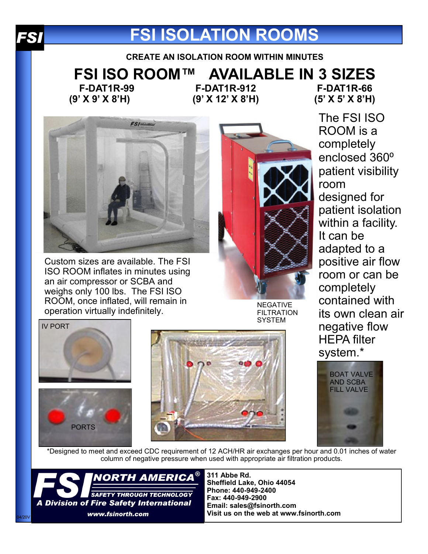

# **FSI ISOLATION ROOMS**

**CREATE AN ISOLATION ROOM WITHIN MINUTES**

**FSI ISO ROOM™ AVAILABLE IN 3 SIZES**

**F-DAT1R-99 (9' X 9' X 8'H)**

**F-DAT1R-912 (9' X 12' X 8'H)**

**F-DAT1R-66 (5' X 5' X 8'H)**

The FSI ISO



Custom sizes are available. The FSI ISO ROOM inflates in minutes using an air compressor or SCBA and weighs only 100 lbs. The FSI ISO ROOM, once inflated, will remain in NOOM, ONCE INHALTO, WILL PENTRIT IN THE REGATIVE OPERATION INTEGRATIVE



**FILTRATION SYSTEM** 

ROOM is a completely enclosed 360<sup>o</sup> patient visibility room designed for patient isolation within a facility. It can be adapted to a positive air flow room or can be completely contained with its own clean air negative flow HEPA filter system.\*



IV PORT





BOAT VALVE AND SCBA FILL VALVE

\*Designed to meet and exceed CDC requirement of 12 ACH/HR air exchanges per hour and 0.01 inches of water column of negative pressure when used with appropriate air filtration products.



**311 Abbe Rd. Sheffield Lake, Ohio 44054 Phone: 440-949-2400 Fax: 440-949-2900 Email: sales@fsinorth.com Visit us on the web at www.fsinorth.com**